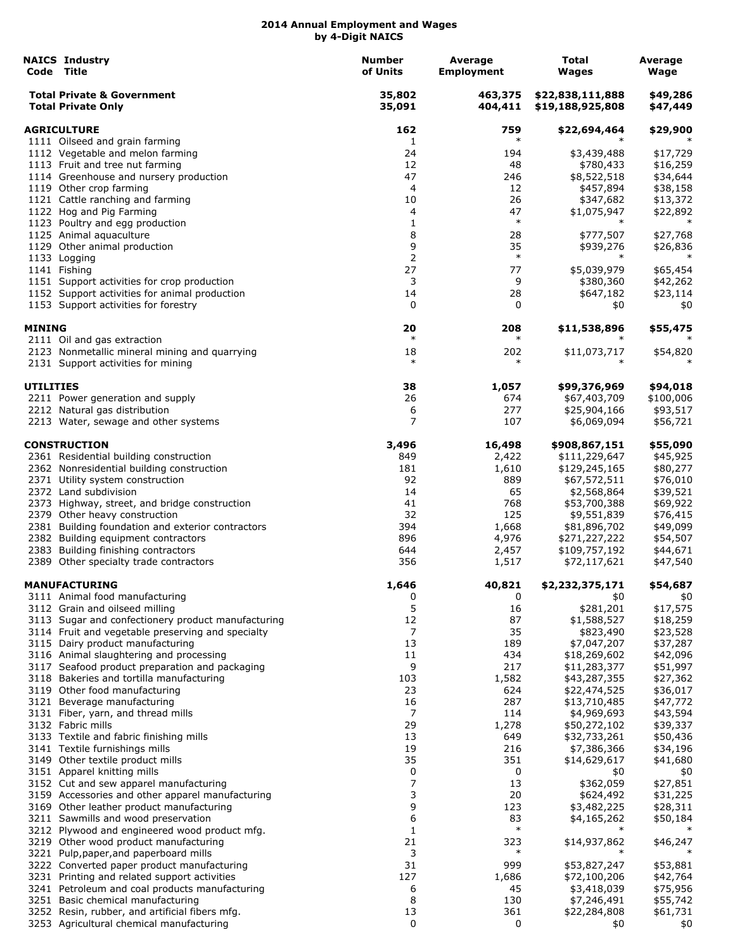|                  | <b>NAICS Industrv</b><br>Code Title                                                        | <b>Number</b><br>of Units | Average<br><b>Employment</b> | Total<br>Wages                       | Average<br>Wage      |
|------------------|--------------------------------------------------------------------------------------------|---------------------------|------------------------------|--------------------------------------|----------------------|
|                  | <b>Total Private &amp; Government</b><br><b>Total Private Only</b>                         | 35,802<br>35,091          | 463,375<br>404,411           | \$22,838,111,888<br>\$19,188,925,808 | \$49,286<br>\$47,449 |
|                  | <b>AGRICULTURE</b>                                                                         | 162                       | 759                          | \$22,694,464                         | \$29,900             |
|                  | 1111 Oilseed and grain farming                                                             | 1                         | $\ast$                       |                                      |                      |
|                  | 1112 Vegetable and melon farming                                                           | 24                        | 194                          | \$3,439,488                          | \$17,729             |
|                  | 1113 Fruit and tree nut farming                                                            | 12                        | 48                           | \$780,433                            | \$16,259             |
|                  | 1114 Greenhouse and nursery production<br>1119 Other crop farming                          | 47<br>4                   | 246<br>12                    | \$8,522,518<br>\$457,894             | \$34,644<br>\$38,158 |
|                  | 1121 Cattle ranching and farming                                                           | 10                        | 26                           | \$347,682                            | \$13,372             |
|                  | 1122 Hog and Pig Farming                                                                   | 4                         | 47                           | \$1,075,947                          | \$22,892             |
|                  | 1123 Poultry and egg production                                                            | 1                         | $\ast$                       |                                      | $\ast$               |
|                  | 1125 Animal aquaculture                                                                    | 8                         | 28                           | \$777,507                            | \$27,768             |
|                  | 1129 Other animal production                                                               | 9                         | 35                           | \$939,276                            | \$26,836             |
|                  | 1133 Logging                                                                               | 2                         | $\ast$                       | $\ast$                               | $\ast$               |
|                  | 1141 Fishing                                                                               | 27                        | 77                           | \$5,039,979                          | \$65,454             |
|                  | 1151 Support activities for crop production                                                | 3                         | 9                            | \$380,360                            | \$42,262             |
|                  | 1152 Support activities for animal production                                              | 14                        | 28                           | \$647,182                            | \$23,114             |
|                  | 1153 Support activities for forestry                                                       | 0                         | 0                            | \$0                                  | \$0                  |
| <b>MINING</b>    |                                                                                            | 20<br>$\ast$              | 208<br>$\ast$                | \$11,538,896                         | \$55,475             |
|                  | 2111 Oil and gas extraction<br>2123 Nonmetallic mineral mining and quarrying               | 18                        | 202                          | \$11,073,717                         | \$54,820             |
|                  | 2131 Support activities for mining                                                         | $\ast$                    | $\ast$                       |                                      |                      |
| <b>UTILITIES</b> |                                                                                            | 38                        | 1,057                        | \$99,376,969                         | \$94,018             |
|                  | 2211 Power generation and supply                                                           | 26                        | 674                          | \$67,403,709                         | \$100,006            |
|                  | 2212 Natural gas distribution                                                              | 6                         | 277                          | \$25,904,166                         | \$93,517             |
|                  | 2213 Water, sewage and other systems                                                       | 7                         | 107                          | \$6,069,094                          | \$56,721             |
|                  | <b>CONSTRUCTION</b>                                                                        | 3,496                     | 16,498                       | \$908,867,151                        | \$55,090             |
|                  | 2361 Residential building construction                                                     | 849                       | 2,422                        | \$111,229,647                        | \$45,925             |
|                  | 2362 Nonresidential building construction                                                  | 181                       | 1,610                        | \$129,245,165                        | \$80,277             |
|                  | 2371 Utility system construction                                                           | 92                        | 889                          | \$67,572,511                         | \$76,010             |
|                  | 2372 Land subdivision                                                                      | 14                        | 65                           | \$2,568,864                          | \$39,521             |
|                  | 2373 Highway, street, and bridge construction                                              | 41                        | 768                          | \$53,700,388                         | \$69,922             |
|                  | 2379 Other heavy construction<br>2381 Building foundation and exterior contractors         | 32<br>394                 | 125                          | \$9,551,839                          | \$76,415             |
|                  | 2382 Building equipment contractors                                                        | 896                       | 1,668<br>4,976               | \$81,896,702<br>\$271,227,222        | \$49,099<br>\$54,507 |
|                  | 2383 Building finishing contractors                                                        | 644                       | 2,457                        | \$109,757,192                        | \$44,671             |
|                  | 2389 Other specialty trade contractors                                                     | 356                       | 1,517                        | \$72,117,621                         | \$47,540             |
|                  | <b>MANUFACTURING</b>                                                                       | 1,646                     | 40,821                       | \$2,232,375,171                      | \$54,687             |
|                  | 3111 Animal food manufacturing                                                             | 0                         | 0                            | \$0                                  | \$0                  |
|                  | 3112 Grain and oilseed milling                                                             | 5                         | 16                           | \$281,201                            | \$17,575             |
|                  | 3113 Sugar and confectionery product manufacturing                                         | 12                        | 87                           | \$1,588,527                          | \$18,259             |
|                  | 3114 Fruit and vegetable preserving and specialty                                          | 7                         | 35                           | \$823,490                            | \$23,528             |
|                  | 3115 Dairy product manufacturing                                                           | 13<br>11                  | 189<br>434                   | \$7,047,207<br>\$18,269,602          | \$37,287             |
|                  | 3116 Animal slaughtering and processing<br>3117 Seafood product preparation and packaging  | 9                         | 217                          | \$11,283,377                         | \$42,096<br>\$51,997 |
|                  | 3118 Bakeries and tortilla manufacturing                                                   | 103                       | 1,582                        | \$43,287,355                         | \$27,362             |
|                  | 3119 Other food manufacturing                                                              | 23                        | 624                          | \$22,474,525                         | \$36,017             |
|                  | 3121 Beverage manufacturing                                                                | 16                        | 287                          | \$13,710,485                         | \$47,772             |
|                  | 3131 Fiber, yarn, and thread mills                                                         | $\overline{7}$            | 114                          | \$4,969,693                          | \$43,594             |
|                  | 3132 Fabric mills                                                                          | 29                        | 1,278                        | \$50,272,102                         | \$39,337             |
|                  | 3133 Textile and fabric finishing mills                                                    | 13                        | 649                          | \$32,733,261                         | \$50,436             |
|                  | 3141 Textile furnishings mills                                                             | 19                        | 216                          | \$7,386,366                          | \$34,196             |
|                  | 3149 Other textile product mills                                                           | 35                        | 351                          | \$14,629,617                         | \$41,680             |
|                  | 3151 Apparel knitting mills                                                                | 0<br>7                    | 0<br>13                      | \$0                                  | \$0                  |
|                  | 3152 Cut and sew apparel manufacturing<br>3159 Accessories and other apparel manufacturing | 3                         | 20                           | \$362,059<br>\$624,492               | \$27,851<br>\$31,225 |
|                  | 3169 Other leather product manufacturing                                                   | 9                         | 123                          | \$3,482,225                          | \$28,311             |
|                  | 3211 Sawmills and wood preservation                                                        | 6                         | 83                           | \$4,165,262                          | \$50,184             |
|                  | 3212 Plywood and engineered wood product mfg.                                              | 1                         | $\ast$                       |                                      |                      |
|                  | 3219 Other wood product manufacturing                                                      | 21                        | 323                          | \$14,937,862                         | \$46,247             |
|                  | 3221 Pulp, paper, and paperboard mills                                                     | 3                         | $\ast$                       |                                      |                      |
|                  | 3222 Converted paper product manufacturing                                                 | 31                        | 999                          | \$53,827,247                         | \$53,881             |
|                  | 3231 Printing and related support activities                                               | 127                       | 1,686                        | \$72,100,206                         | \$42,764             |
|                  | 3241 Petroleum and coal products manufacturing                                             | 6                         | 45                           | \$3,418,039                          | \$75,956             |
|                  | 3251 Basic chemical manufacturing                                                          | 8                         | 130                          | \$7,246,491                          | \$55,742             |
|                  | 3252 Resin, rubber, and artificial fibers mfg.                                             | 13                        | 361                          | \$22,284,808                         | \$61,731             |
|                  | 3253 Agricultural chemical manufacturing                                                   | 0                         | 0                            | \$0                                  | \$0                  |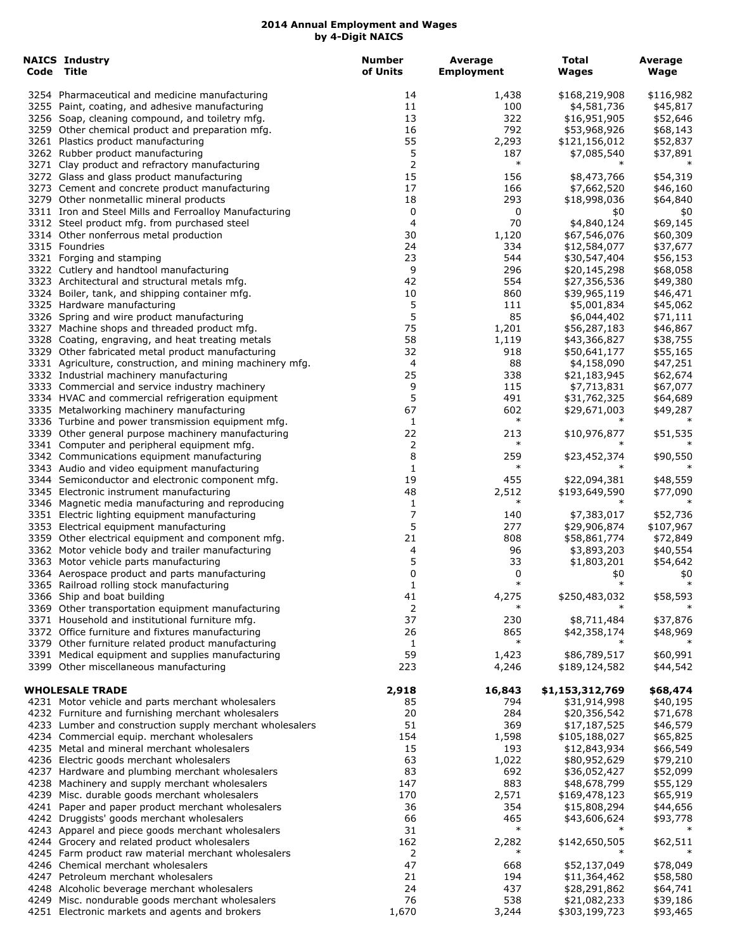| <b>NAICS Industry</b><br>Code Title                       | <b>Number</b><br>of Units | <b>Average</b><br><b>Employment</b> | <b>Total</b><br>Wages | Average<br>Wage |
|-----------------------------------------------------------|---------------------------|-------------------------------------|-----------------------|-----------------|
| 3254 Pharmaceutical and medicine manufacturing            | 14                        | 1,438                               | \$168,219,908         | \$116,982       |
| 3255 Paint, coating, and adhesive manufacturing           | 11                        | 100                                 | \$4,581,736           | \$45,817        |
| 3256 Soap, cleaning compound, and toiletry mfg.           | 13                        | 322                                 | \$16,951,905          | \$52,646        |
| 3259 Other chemical product and preparation mfg.          | 16                        | 792                                 | \$53,968,926          | \$68,143        |
| 3261 Plastics product manufacturing                       | 55                        | 2,293                               | \$121,156,012         | \$52,837        |
| 3262 Rubber product manufacturing                         | 5                         | 187                                 | \$7,085,540           | \$37,891        |
| 3271 Clay product and refractory manufacturing            | 2                         | $\ast$                              |                       |                 |
| 3272 Glass and glass product manufacturing                | 15                        | 156                                 | \$8,473,766           | \$54,319        |
| 3273 Cement and concrete product manufacturing            | 17                        | 166                                 | \$7,662,520           | \$46,160        |
| 3279 Other nonmetallic mineral products                   | 18                        | 293                                 | \$18,998,036          | \$64,840        |
| 3311 Iron and Steel Mills and Ferroalloy Manufacturing    | 0                         | 0                                   | \$0                   | \$0             |
| 3312 Steel product mfg. from purchased steel              | 4                         | 70                                  | \$4,840,124           | \$69,145        |
| 3314 Other nonferrous metal production                    | 30                        | 1,120                               | \$67,546,076          | \$60,309        |
| 3315 Foundries                                            | 24                        | 334                                 | \$12,584,077          | \$37,677        |
| 3321 Forging and stamping                                 | 23                        | 544                                 | \$30,547,404          | \$56,153        |
| 3322 Cutlery and handtool manufacturing                   | 9                         | 296                                 | \$20,145,298          | \$68,058        |
| 3323 Architectural and structural metals mfg.             | 42                        | 554                                 | \$27,356,536          | \$49,380        |
| 3324 Boiler, tank, and shipping container mfg.            | 10                        | 860                                 | \$39,965,119          | \$46,471        |
| 3325 Hardware manufacturing                               | 5                         | 111                                 | \$5,001,834           | \$45,062        |
| 3326 Spring and wire product manufacturing                | 5                         | 85                                  | \$6,044,402           | \$71,111        |
| 3327 Machine shops and threaded product mfg.              | 75                        | 1,201                               | \$56,287,183          | \$46,867        |
| 3328 Coating, engraving, and heat treating metals         | 58                        | 1,119                               | \$43,366,827          | \$38,755        |
| 3329 Other fabricated metal product manufacturing         | 32                        | 918                                 | \$50,641,177          | \$55,165        |
| 3331 Agriculture, construction, and mining machinery mfg. | 4                         | 88                                  | \$4,158,090           | \$47,251        |
| 3332 Industrial machinery manufacturing                   | 25                        | 338                                 | \$21,183,945          | \$62,674        |
| 3333 Commercial and service industry machinery            | 9                         | 115                                 | \$7,713,831           | \$67,077        |
| 3334 HVAC and commercial refrigeration equipment          | 5                         | 491                                 | \$31,762,325          | \$64,689        |
| 3335 Metalworking machinery manufacturing                 | 67                        | 602                                 | \$29,671,003          | \$49,287        |
| 3336 Turbine and power transmission equipment mfg.        | 1                         | $\ast$                              |                       |                 |
| 3339 Other general purpose machinery manufacturing        | 22                        | 213                                 | \$10,976,877          | \$51,535        |
| 3341 Computer and peripheral equipment mfg.               | 2                         | $\ast$                              | $\ast$                |                 |
| 3342 Communications equipment manufacturing               | 8                         | 259                                 | \$23,452,374          | \$90,550        |
| 3343 Audio and video equipment manufacturing              | 1                         | $\ast$                              |                       | $\ast$          |
| 3344 Semiconductor and electronic component mfg.          | 19                        | 455                                 | \$22,094,381          | \$48,559        |
| 3345 Electronic instrument manufacturing                  | 48                        | 2,512                               | \$193,649,590         | \$77,090        |
| 3346 Magnetic media manufacturing and reproducing         | 1                         | $\ast$                              |                       |                 |
| 3351 Electric lighting equipment manufacturing            | 7                         | 140                                 | \$7,383,017           | \$52,736        |
| 3353 Electrical equipment manufacturing                   | 5                         | 277                                 | \$29,906,874          | \$107,967       |
| 3359 Other electrical equipment and component mfg.        | 21                        | 808                                 | \$58,861,774          | \$72,849        |
| 3362 Motor vehicle body and trailer manufacturing         | 4                         | 96                                  | \$3,893,203           | \$40,554        |
| 3363 Motor vehicle parts manufacturing                    | 5                         | 33                                  | \$1,803,201           | \$54,642        |
| 3364 Aerospace product and parts manufacturing            | 0                         | 0                                   | \$0                   | \$0             |
| 3365 Railroad rolling stock manufacturing                 | $\mathbf{1}$              | $\ast$                              | $\ast$                | $\ast$          |
| 3366 Ship and boat building                               | 41                        | 4,275                               | \$250,483,032         | \$58,593        |
| 3369 Other transportation equipment manufacturing         | 2                         | $\ast$                              |                       |                 |
| 3371 Household and institutional furniture mfg.           | 37                        | 230                                 | \$8,711,484           | \$37,876        |
| 3372 Office furniture and fixtures manufacturing          | 26                        | 865                                 | \$42,358,174          | \$48,969        |
| 3379 Other furniture related product manufacturing        | 1                         | $\ast$                              |                       |                 |
| 3391 Medical equipment and supplies manufacturing         | 59                        | 1,423                               | \$86,789,517          | \$60,991        |
| 3399 Other miscellaneous manufacturing                    | 223                       | 4,246                               | \$189,124,582         | \$44,542        |
|                                                           |                           |                                     |                       |                 |
| <b>WHOLESALE TRADE</b>                                    | 2,918                     | 16,843                              | \$1,153,312,769       | \$68,474        |
| 4231 Motor vehicle and parts merchant wholesalers         | 85                        | 794                                 | \$31,914,998          | \$40,195        |
| 4232 Furniture and furnishing merchant wholesalers        | 20                        | 284                                 | \$20,356,542          | \$71,678        |
| 4233 Lumber and construction supply merchant wholesalers  | 51                        | 369                                 | \$17,187,525          | \$46,579        |
| 4234 Commercial equip. merchant wholesalers               | 154                       | 1,598                               | \$105,188,027         | \$65,825        |
| 4235 Metal and mineral merchant wholesalers               | 15                        | 193                                 | \$12,843,934          | \$66,549        |
| 4236 Electric goods merchant wholesalers                  | 63                        | 1,022                               | \$80,952,629          | \$79,210        |
| 4237 Hardware and plumbing merchant wholesalers           | 83                        | 692                                 | \$36,052,427          | \$52,099        |
| 4238 Machinery and supply merchant wholesalers            | 147                       | 883                                 | \$48,678,799          | \$55,129        |
| 4239 Misc. durable goods merchant wholesalers             | 170                       | 2,571                               | \$169,478,123         | \$65,919        |
| 4241 Paper and paper product merchant wholesalers         | 36                        | 354                                 | \$15,808,294          | \$44,656        |
| 4242 Druggists' goods merchant wholesalers                | 66                        | 465                                 | \$43,606,624          | \$93,778        |
| 4243 Apparel and piece goods merchant wholesalers         | 31                        | $\ast$                              |                       |                 |
| 4244 Grocery and related product wholesalers              | 162                       | 2,282                               | \$142,650,505         | \$62,511        |
| 4245 Farm product raw material merchant wholesalers       | 2                         | $\ast$                              | $\ast$                | $\ast$          |
| 4246 Chemical merchant wholesalers                        | 47                        | 668                                 | \$52,137,049          | \$78,049        |
| 4247 Petroleum merchant wholesalers                       | 21                        | 194                                 | \$11,364,462          | \$58,580        |
| 4248 Alcoholic beverage merchant wholesalers              | 24                        | 437                                 | \$28,291,862          | \$64,741        |
| 4249 Misc. nondurable goods merchant wholesalers          | 76                        | 538                                 | \$21,082,233          | \$39,186        |
| 4251 Electronic markets and agents and brokers            | 1,670                     | 3,244                               | \$303,199,723         | \$93,465        |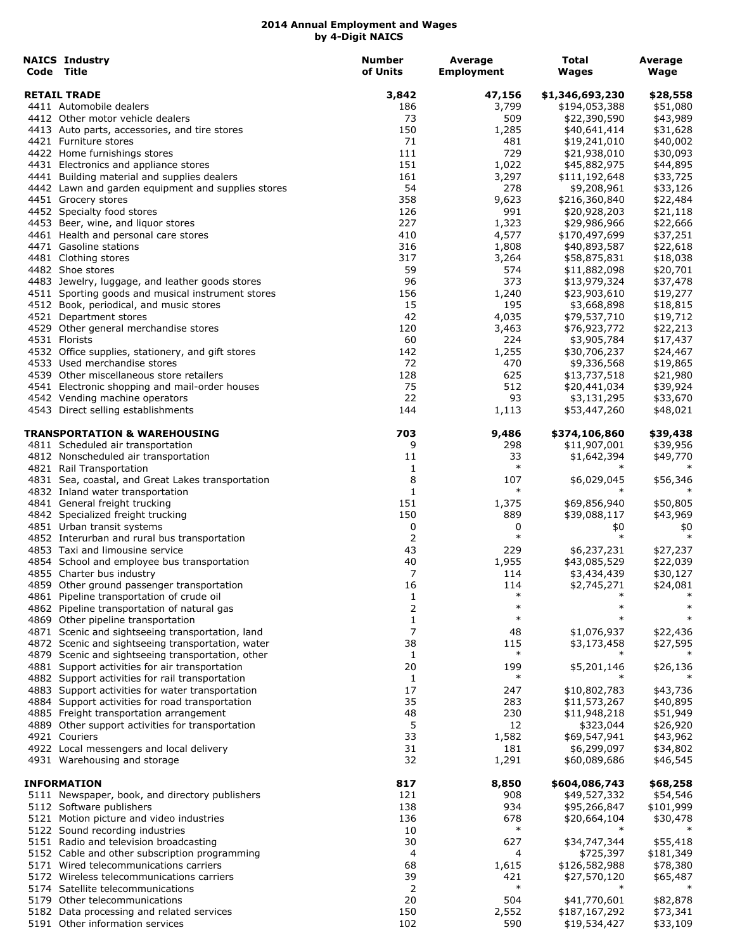| <b>NAICS Industry</b><br>Code Title                         | <b>Number</b><br>of Units | Average<br><b>Employment</b> | Total<br><b>Wages</b>        | Average<br>Wage      |
|-------------------------------------------------------------|---------------------------|------------------------------|------------------------------|----------------------|
|                                                             |                           |                              |                              |                      |
| <b>RETAIL TRADE</b>                                         | 3,842                     | 47,156                       | \$1,346,693,230              | \$28,558             |
| 4411 Automobile dealers<br>4412 Other motor vehicle dealers | 186<br>73                 | 3,799<br>509                 | \$194,053,388                | \$51,080             |
| 4413 Auto parts, accessories, and tire stores               | 150                       | 1,285                        | \$22,390,590<br>\$40,641,414 | \$43,989<br>\$31,628 |
| 4421 Furniture stores                                       | 71                        | 481                          | \$19,241,010                 | \$40,002             |
| 4422 Home furnishings stores                                | 111                       | 729                          | \$21,938,010                 | \$30,093             |
| 4431 Electronics and appliance stores                       | 151                       | 1,022                        | \$45,882,975                 | \$44,895             |
| 4441 Building material and supplies dealers                 | 161                       | 3,297                        | \$111,192,648                | \$33,725             |
| 4442 Lawn and garden equipment and supplies stores          | 54                        | 278                          | \$9,208,961                  | \$33,126             |
| 4451 Grocery stores                                         | 358                       | 9,623                        | \$216,360,840                | \$22,484             |
| 4452 Specialty food stores                                  | 126                       | 991                          | \$20,928,203                 | \$21,118             |
| 4453 Beer, wine, and liquor stores                          | 227                       | 1,323                        | \$29,986,966                 | \$22,666             |
| 4461 Health and personal care stores                        | 410                       | 4,577                        | \$170,497,699                | \$37,251             |
| 4471 Gasoline stations                                      | 316                       | 1,808                        | \$40,893,587                 | \$22,618             |
| 4481 Clothing stores                                        | 317                       | 3,264                        | \$58,875,831                 | \$18,038             |
| 4482 Shoe stores                                            | 59                        | 574                          | \$11,882,098                 | \$20,701             |
| 4483 Jewelry, luggage, and leather goods stores             | 96                        | 373                          | \$13,979,324                 | \$37,478             |
| 4511 Sporting goods and musical instrument stores           | 156                       | 1,240                        | \$23,903,610                 | \$19,277             |
| 4512 Book, periodical, and music stores                     | 15                        | 195                          | \$3,668,898                  | \$18,815             |
| 4521 Department stores                                      | 42                        | 4,035                        | \$79,537,710                 | \$19,712             |
| 4529 Other general merchandise stores                       | 120                       | 3,463                        | \$76,923,772                 | \$22,213             |
| 4531 Florists                                               | 60                        | 224                          | \$3,905,784                  | \$17,437             |
| 4532 Office supplies, stationery, and gift stores           | 142                       | 1,255                        | \$30,706,237                 | \$24,467             |
| 4533 Used merchandise stores                                | 72                        | 470                          | \$9,336,568                  | \$19,865             |
| 4539 Other miscellaneous store retailers                    | 128                       | 625                          | \$13,737,518                 | \$21,980             |
| 4541 Electronic shopping and mail-order houses              | 75                        | 512                          | \$20,441,034                 | \$39,924             |
| 4542 Vending machine operators                              | 22                        | 93                           | \$3,131,295                  | \$33,670             |
| 4543 Direct selling establishments                          | 144                       | 1,113                        | \$53,447,260                 | \$48,021             |
| TRANSPORTATION & WAREHOUSING                                | 703                       | 9,486                        | \$374,106,860                | \$39,438             |
| 4811 Scheduled air transportation                           | 9                         | 298                          | \$11,907,001                 | \$39,956             |
| 4812 Nonscheduled air transportation                        | 11                        | 33                           | \$1,642,394                  | \$49,770             |
| 4821 Rail Transportation                                    | 1                         | $\ast$                       |                              |                      |
| 4831 Sea, coastal, and Great Lakes transportation           | 8                         | 107                          | \$6,029,045                  | \$56,346             |
| 4832 Inland water transportation                            | $\mathbf{1}$              | $\ast$                       |                              |                      |
| 4841 General freight trucking                               | 151                       | 1,375                        | \$69,856,940                 | \$50,805             |
| 4842 Specialized freight trucking                           | 150                       | 889                          | \$39,088,117                 | \$43,969             |
| 4851 Urban transit systems                                  | 0                         | 0                            | \$0                          | \$0                  |
| 4852 Interurban and rural bus transportation                | 2                         | $\ast$                       | $\ast$                       | $\ast$               |
| 4853 Taxi and limousine service                             | 43                        | 229                          | \$6,237,231                  | \$27,237             |
| 4854 School and employee bus transportation                 | 40                        | 1,955                        | \$43,085,529                 | \$22,039             |
| 4855 Charter bus industry                                   | 7                         | 114                          | \$3,434,439                  | \$30,127             |
| 4859 Other ground passenger transportation                  | 16                        | 114                          | \$2,745,271                  | \$24,081             |
| 4861 Pipeline transportation of crude oil                   | 1                         | $\ast$                       | $\ast$                       |                      |
| 4862 Pipeline transportation of natural gas                 | 2                         | $\ast$                       | $\ast$                       | $\ast$               |
| 4869 Other pipeline transportation                          | 1                         | $\ast$                       |                              |                      |
| 4871 Scenic and sightseeing transportation, land            | 7                         | 48                           | \$1,076,937                  | \$22,436             |
| 4872 Scenic and sightseeing transportation, water           | 38                        | 115                          | \$3,173,458                  | \$27,595             |
| 4879 Scenic and sightseeing transportation, other           | 1                         | $\ast$                       | $\ast$                       |                      |
| 4881 Support activities for air transportation              | 20                        | 199                          | \$5,201,146                  | \$26,136             |
| 4882 Support activities for rail transportation             | 1                         | $\ast$                       |                              |                      |
| 4883 Support activities for water transportation            | 17                        | 247                          | \$10,802,783                 | \$43,736             |
| 4884 Support activities for road transportation             | 35                        | 283                          | \$11,573,267                 | \$40,895             |
| 4885 Freight transportation arrangement                     | 48                        | 230                          | \$11,948,218                 | \$51,949             |
| 4889 Other support activities for transportation            | 5                         | 12                           | \$323,044                    | \$26,920             |
| 4921 Couriers                                               | 33                        | 1,582                        | \$69,547,941                 | \$43,962             |
| 4922 Local messengers and local delivery                    | 31                        | 181                          | \$6,299,097                  | \$34,802             |
| 4931 Warehousing and storage                                | 32                        | 1,291                        | \$60,089,686                 | \$46,545             |
| <b>INFORMATION</b>                                          | 817                       | 8,850                        | \$604,086,743                | \$68,258             |
| 5111 Newspaper, book, and directory publishers              | 121                       | 908                          | \$49,527,332                 | \$54,546             |
| 5112 Software publishers                                    | 138                       | 934                          | \$95,266,847                 | \$101,999            |
| 5121 Motion picture and video industries                    | 136                       | 678                          | \$20,664,104                 | \$30,478             |
| 5122 Sound recording industries                             | 10                        | $\ast$                       | $\ast$                       | $\ast$               |
| 5151 Radio and television broadcasting                      | 30                        | 627                          | \$34,747,344                 | \$55,418             |
| 5152 Cable and other subscription programming               | 4                         | 4                            | \$725,397                    | \$181,349            |
| 5171 Wired telecommunications carriers                      | 68                        | 1,615                        | \$126,582,988                | \$78,380             |
| 5172 Wireless telecommunications carriers                   | 39                        | 421                          | \$27,570,120                 | \$65,487             |
| 5174 Satellite telecommunications                           | 2                         | $\ast$                       |                              |                      |
| 5179 Other telecommunications                               | 20                        | 504                          | \$41,770,601                 | \$82,878             |
| 5182 Data processing and related services                   | 150                       | 2,552                        | \$187,167,292                | \$73,341             |
| 5191 Other information services                             | 102                       | 590                          | \$19,534,427                 | \$33,109             |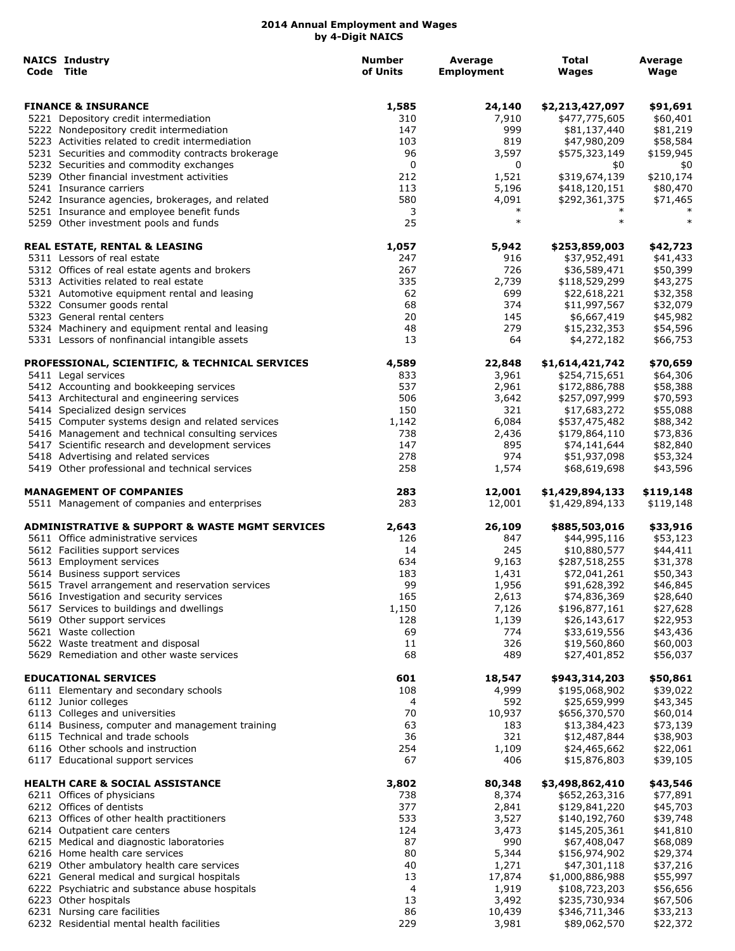| <b>NAICS Industry</b><br>Code Title                                                | <b>Number</b><br>of Units | Average<br><b>Employment</b> | Total<br>Wages               | Average<br>Wage      |
|------------------------------------------------------------------------------------|---------------------------|------------------------------|------------------------------|----------------------|
| <b>FINANCE &amp; INSURANCE</b>                                                     | 1,585                     | 24,140                       | \$2,213,427,097              | \$91,691             |
| 5221 Depository credit intermediation                                              | 310                       | 7,910                        | \$477,775,605                | \$60,401             |
| 5222 Nondepository credit intermediation                                           | 147                       | 999                          | \$81,137,440                 | \$81,219             |
| 5223 Activities related to credit intermediation                                   | 103                       | 819                          | \$47,980,209                 | \$58,584             |
| 5231 Securities and commodity contracts brokerage                                  | 96                        | 3,597                        | \$575,323,149                | \$159,945            |
| 5232 Securities and commodity exchanges                                            | 0                         | 0                            | \$0                          | \$0                  |
| 5239 Other financial investment activities                                         | 212                       | 1,521                        | \$319,674,139                | \$210,174            |
| 5241 Insurance carriers                                                            | 113                       | 5,196                        | \$418,120,151                | \$80,470             |
| 5242 Insurance agencies, brokerages, and related                                   | 580                       | 4,091                        | \$292,361,375                | \$71,465             |
| 5251 Insurance and employee benefit funds<br>5259 Other investment pools and funds | 3<br>25                   | $\ast$<br>$\ast$             | $\ast$<br>$\ast$             | $\ast$               |
|                                                                                    |                           |                              |                              |                      |
| <b>REAL ESTATE, RENTAL &amp; LEASING</b><br>5311 Lessors of real estate            | 1,057<br>247              | 5,942<br>916                 | \$253,859,003                | \$42,723<br>\$41,433 |
| 5312 Offices of real estate agents and brokers                                     | 267                       | 726                          | \$37,952,491<br>\$36,589,471 | \$50,399             |
| 5313 Activities related to real estate                                             | 335                       | 2,739                        | \$118,529,299                | \$43,275             |
| 5321 Automotive equipment rental and leasing                                       | 62                        | 699                          | \$22,618,221                 | \$32,358             |
| 5322 Consumer goods rental                                                         | 68                        | 374                          | \$11,997,567                 | \$32,079             |
| 5323 General rental centers                                                        | 20                        | 145                          | \$6,667,419                  | \$45,982             |
| 5324 Machinery and equipment rental and leasing                                    | 48                        | 279                          | \$15,232,353                 | \$54,596             |
| 5331 Lessors of nonfinancial intangible assets                                     | 13                        | 64                           | \$4,272,182                  | \$66,753             |
| PROFESSIONAL, SCIENTIFIC, & TECHNICAL SERVICES                                     | 4,589                     | 22,848                       | \$1,614,421,742              | \$70,659             |
| 5411 Legal services                                                                | 833                       | 3,961                        | \$254,715,651                | \$64,306             |
| 5412 Accounting and bookkeeping services                                           | 537                       | 2,961                        | \$172,886,788                | \$58,388             |
| 5413 Architectural and engineering services                                        | 506                       | 3,642                        | \$257,097,999                | \$70,593             |
| 5414 Specialized design services                                                   | 150                       | 321                          | \$17,683,272                 | \$55,088             |
| 5415 Computer systems design and related services                                  | 1,142                     | 6,084                        | \$537,475,482                | \$88,342             |
| 5416 Management and technical consulting services                                  | 738                       | 2,436                        | \$179,864,110                | \$73,836             |
| 5417 Scientific research and development services                                  | 147                       | 895                          | \$74,141,644                 | \$82,840             |
| 5418 Advertising and related services                                              | 278                       | 974                          | \$51,937,098                 | \$53,324             |
| 5419 Other professional and technical services                                     | 258                       | 1,574                        | \$68,619,698                 | \$43,596             |
| <b>MANAGEMENT OF COMPANIES</b>                                                     | 283                       | 12,001                       | \$1,429,894,133              | \$119,148            |
| 5511 Management of companies and enterprises                                       | 283                       | 12,001                       | \$1,429,894,133              | \$119,148            |
| <b>ADMINISTRATIVE &amp; SUPPORT &amp; WASTE MGMT SERVICES</b>                      | 2,643                     | 26,109                       | \$885,503,016                | \$33,916             |
| 5611 Office administrative services                                                | 126                       | 847                          | \$44,995,116                 | \$53,123             |
| 5612 Facilities support services                                                   | 14                        | 245                          | \$10,880,577                 | \$44,411             |
| 5613 Employment services                                                           | 634                       | 9,163                        | \$287,518,255                | \$31,378             |
| 5614 Business support services                                                     | 183                       | 1,431                        | \$72,041,261                 | \$50,343             |
| 5615 Travel arrangement and reservation services                                   | 99                        | 1,956                        | \$91,628,392                 | \$46,845             |
| 5616 Investigation and security services                                           | 165                       | 2,613                        | \$74,836,369                 | \$28,640             |
| 5617 Services to buildings and dwellings                                           | 1,150                     | 7,126                        | \$196,877,161                | \$27,628             |
| 5619 Other support services                                                        | 128                       | 1,139                        | \$26,143,617                 | \$22,953             |
| 5621 Waste collection                                                              | 69                        | 774                          | \$33,619,556                 | \$43,436             |
| 5622 Waste treatment and disposal                                                  | 11                        | 326                          | \$19,560,860                 | \$60,003             |
| 5629 Remediation and other waste services                                          | 68                        | 489                          | \$27,401,852                 | \$56,037             |
| <b>EDUCATIONAL SERVICES</b>                                                        | 601                       | 18,547                       | \$943,314,203                | \$50,861             |
| 6111 Elementary and secondary schools                                              | 108                       | 4,999                        | \$195,068,902                | \$39,022             |
| 6112 Junior colleges                                                               | 4                         | 592                          | \$25,659,999                 | \$43,345             |
| 6113 Colleges and universities                                                     | 70                        | 10,937                       | \$656,370,570                | \$60,014             |
| 6114 Business, computer and management training                                    | 63                        | 183                          | \$13,384,423                 | \$73,139             |
| 6115 Technical and trade schools                                                   | 36                        | 321                          | \$12,487,844                 | \$38,903             |
| 6116 Other schools and instruction                                                 | 254                       | 1,109                        | \$24,465,662                 | \$22,061             |
| 6117 Educational support services                                                  | 67                        | 406                          | \$15,876,803                 | \$39,105             |
| <b>HEALTH CARE &amp; SOCIAL ASSISTANCE</b>                                         | 3,802                     | 80,348                       | \$3,498,862,410              | \$43,546             |
| 6211 Offices of physicians                                                         | 738                       | 8,374                        | \$652,263,316                | \$77,891             |
| 6212 Offices of dentists                                                           | 377                       | 2,841                        | \$129,841,220                | \$45,703             |
| 6213 Offices of other health practitioners                                         | 533                       | 3,527                        | \$140,192,760                | \$39,748             |
| 6214 Outpatient care centers                                                       | 124                       | 3,473                        | \$145,205,361                | \$41,810             |
| 6215 Medical and diagnostic laboratories                                           | 87                        | 990                          | \$67,408,047                 | \$68,089             |
| 6216 Home health care services                                                     | 80                        | 5,344                        | \$156,974,902                | \$29,374             |
| 6219 Other ambulatory health care services                                         | 40                        | 1,271                        | \$47,301,118                 | \$37,216             |
| 6221 General medical and surgical hospitals                                        | 13                        | 17,874                       | \$1,000,886,988              | \$55,997             |
| 6222 Psychiatric and substance abuse hospitals                                     | 4                         | 1,919                        | \$108,723,203                | \$56,656             |
| 6223 Other hospitals                                                               | 13                        | 3,492                        | \$235,730,934                | \$67,506             |
| 6231 Nursing care facilities                                                       | 86                        | 10,439                       | \$346,711,346                | \$33,213             |
| 6232 Residential mental health facilities                                          | 229                       | 3,981                        | \$89,062,570                 | \$22,372             |